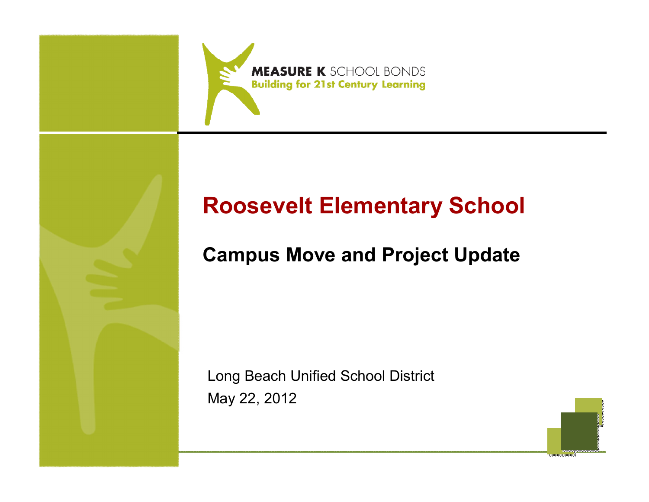

# **Roosevelt Elementary School**

# **Campus Move and Project Update**

Long Beach Unified School DistrictMay 22, 2012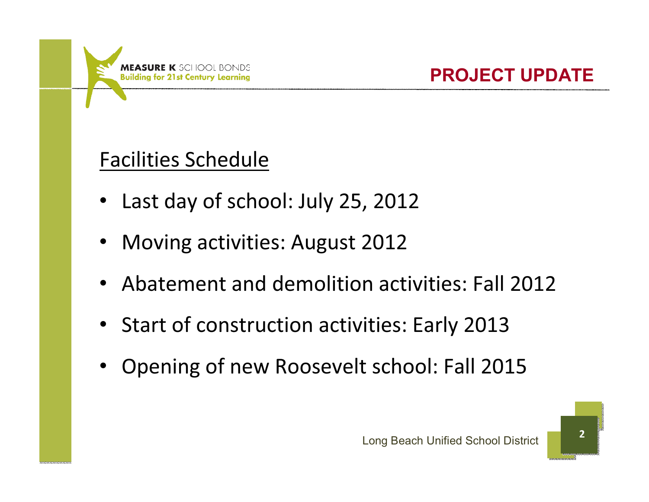

# Facilities Schedule

- •Last day of school: July 25, 2012
- •Moving activities: August 2012
- •Abatement and demolition activities: Fall 2012
- Start of construction activities: Early 2013
- •Opening of new Roosevelt school: Fall 2015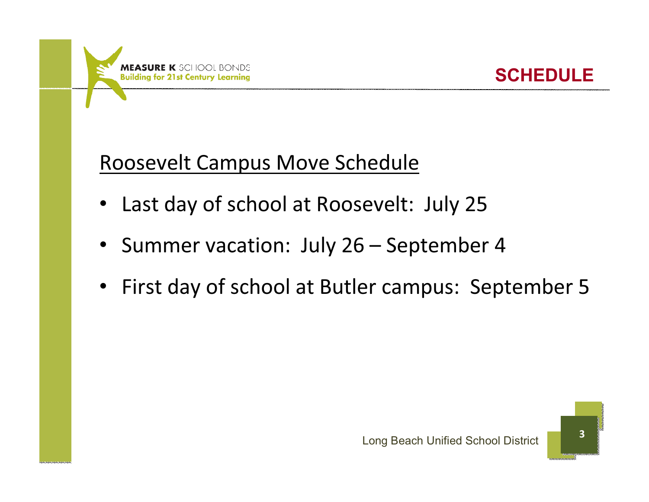



# Roosevelt Campus Move Schedule

- •Last day of school at Roosevelt: July 25
- $\bullet$ Summer vacation: July 26 – September 4
- $\bullet$ First day of school at Butler campus: September 5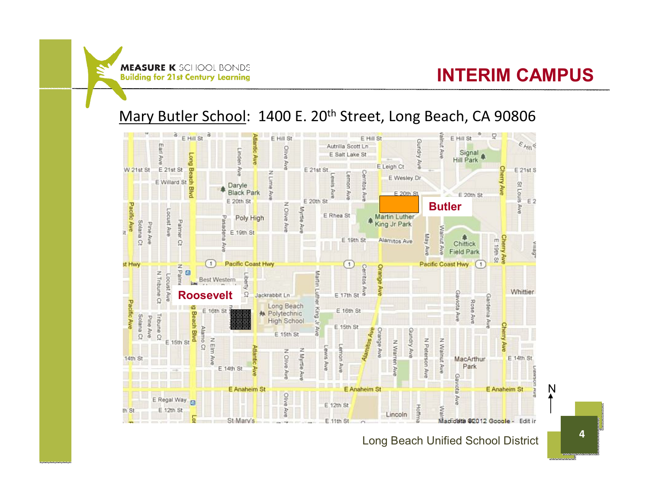#### **INTERIM CAMPUS**

#### Mary Butler School: 1400 E. 20<sup>th</sup> Street, Long Beach, CA 90806



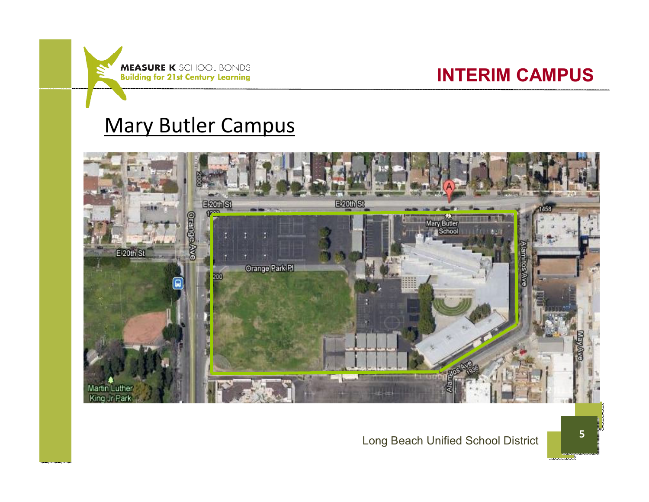

#### **INTERIM CAMPUS**

## Mary Butler Campus



#### Long Beach Unified School District **<sup>5</sup>**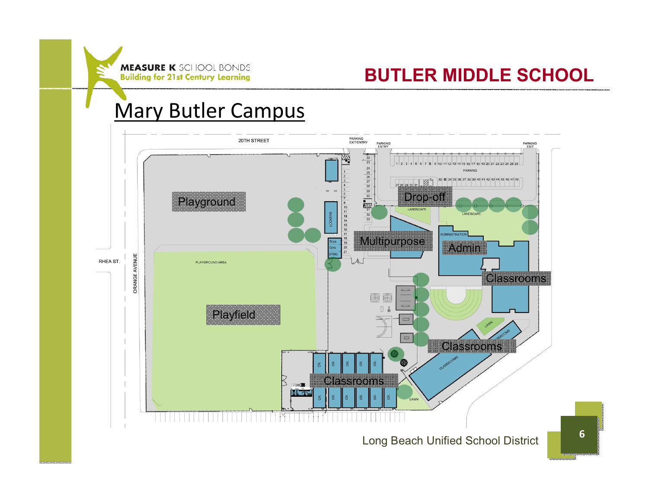### **BUTLER MIDDLE SCHOOL**

## Mary Butler Campus

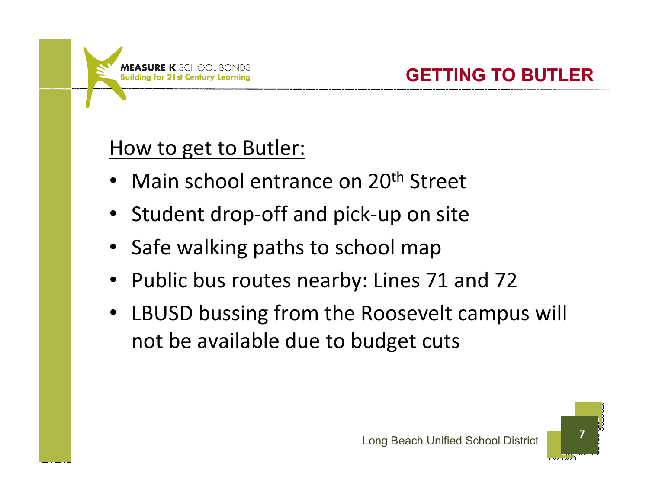# How to get to Butler:

- •Main school entrance on 20<sup>th</sup> Street
- Student drop-off and pick-up on site
- Safe walking paths to school map
- Public bus routes nearby: Lines 71 and 72
- $\bullet$  LBUSD bussing from the Roosevelt campus will not be available due to budget cuts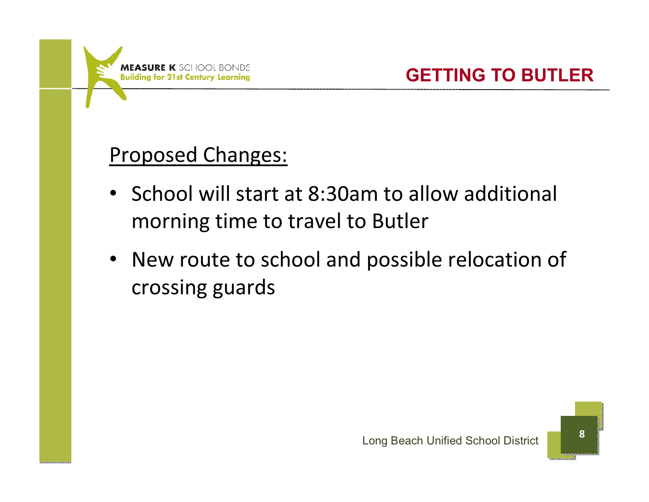

# Proposed Changes:

- School will start at 8:30am to allow additional morning time to travel to Butler
- New route to school and possible relocation of crossing guards